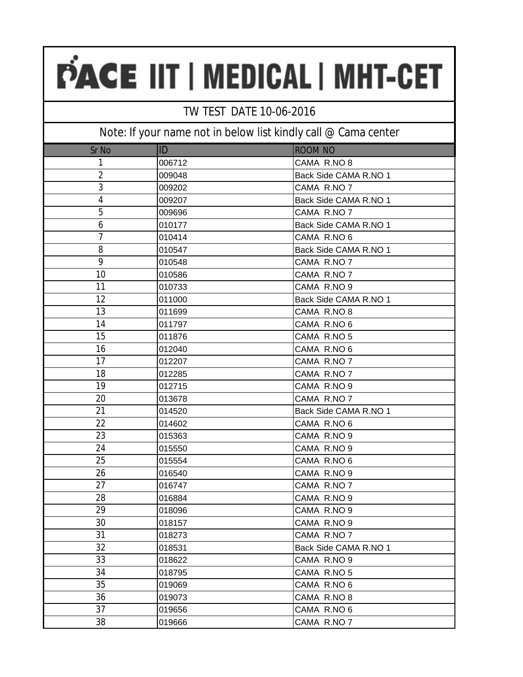### TW TEST DATE 10-06-2016

| Sr No          | <b>ID</b> | <b>ROOM NO</b>        |
|----------------|-----------|-----------------------|
| 1              | 006712    | CAMA R.NO 8           |
| $\overline{2}$ | 009048    | Back Side CAMA R.NO 1 |
| 3              | 009202    | CAMA R.NO 7           |
| 4              | 009207    | Back Side CAMA R.NO 1 |
| 5              | 009696    | CAMA R.NO 7           |
| 6              | 010177    | Back Side CAMA R.NO 1 |
| $\overline{7}$ | 010414    | CAMA R.NO 6           |
| 8              | 010547    | Back Side CAMA R.NO 1 |
| 9              | 010548    | CAMA R.NO 7           |
| 10             | 010586    | CAMA R.NO 7           |
| 11             | 010733    | CAMA R.NO 9           |
| 12             | 011000    | Back Side CAMA R.NO 1 |
| 13             | 011699    | CAMA R.NO 8           |
| 14             | 011797    | CAMA R.NO 6           |
| 15             | 011876    | CAMA R.NO 5           |
| 16             | 012040    | CAMA R.NO 6           |
| 17             | 012207    | CAMA R.NO 7           |
| 18             | 012285    | CAMA R.NO 7           |
| 19             | 012715    | CAMA R.NO 9           |
| 20             | 013678    | CAMA R.NO 7           |
| 21             | 014520    | Back Side CAMA R.NO 1 |
| 22             | 014602    | CAMA R.NO 6           |
| 23             | 015363    | CAMA R.NO 9           |
| 24             | 015550    | CAMA R.NO 9           |
| 25             | 015554    | CAMA R.NO 6           |
| 26             | 016540    | CAMA R.NO 9           |
| 27             | 016747    | CAMA R.NO 7           |
| 28             | 016884    | CAMA R.NO 9           |
| 29             | 018096    | CAMA R.NO 9           |
| 30             | 018157    | CAMA R.NO 9           |
| 31             | 018273    | CAMA R.NO 7           |
| 32             | 018531    | Back Side CAMA R.NO 1 |
| 33             | 018622    | CAMA R.NO 9           |
| 34             | 018795    | CAMA R.NO 5           |
| 35             | 019069    | CAMA R.NO 6           |
| 36             | 019073    | CAMA R.NO 8           |
| 37             | 019656    | CAMA R.NO 6           |
| 38             | 019666    | CAMA R.NO 7           |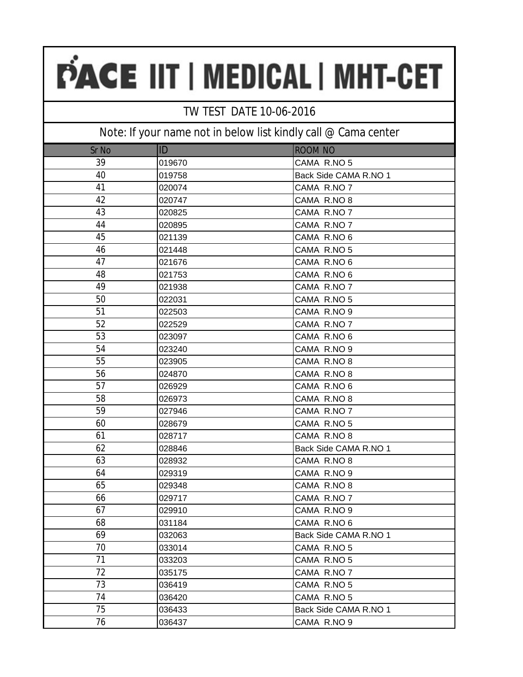### TW TEST DATE 10-06-2016

| Sr No | ID     | <b>ROOM NO</b>        |
|-------|--------|-----------------------|
| 39    | 019670 | CAMA R.NO 5           |
| 40    | 019758 | Back Side CAMA R.NO 1 |
| 41    | 020074 | CAMA R.NO 7           |
| 42    | 020747 | CAMA R.NO 8           |
| 43    | 020825 | CAMA R.NO 7           |
| 44    | 020895 | CAMA R.NO 7           |
| 45    | 021139 | CAMA R.NO 6           |
| 46    | 021448 | CAMA R.NO 5           |
| 47    | 021676 | CAMA R.NO 6           |
| 48    | 021753 | CAMA R.NO 6           |
| 49    | 021938 | CAMA R.NO 7           |
| 50    | 022031 | CAMA R.NO 5           |
| 51    | 022503 | CAMA R.NO 9           |
| 52    | 022529 | CAMA R.NO 7           |
| 53    | 023097 | CAMA R.NO 6           |
| 54    | 023240 | CAMA R.NO 9           |
| 55    | 023905 | CAMA R.NO 8           |
| 56    | 024870 | CAMA R.NO 8           |
| 57    | 026929 | CAMA R.NO 6           |
| 58    | 026973 | CAMA R.NO 8           |
| 59    | 027946 | CAMA R.NO 7           |
| 60    | 028679 | CAMA R.NO 5           |
| 61    | 028717 | CAMA R.NO 8           |
| 62    | 028846 | Back Side CAMA R.NO 1 |
| 63    | 028932 | CAMA R.NO 8           |
| 64    | 029319 | CAMA R.NO 9           |
| 65    | 029348 | CAMA R.NO 8           |
| 66    | 029717 | CAMA R.NO 7           |
| 67    | 029910 | CAMA R.NO 9           |
| 68    | 031184 | CAMA R.NO 6           |
| 69    | 032063 | Back Side CAMA R.NO 1 |
| 70    | 033014 | CAMA R.NO 5           |
| 71    | 033203 | CAMA R.NO 5           |
| 72    | 035175 | CAMA R.NO 7           |
| 73    | 036419 | CAMA R.NO 5           |
| 74    | 036420 | CAMA R.NO 5           |
| 75    | 036433 | Back Side CAMA R.NO 1 |
| 76    | 036437 | CAMA R.NO 9           |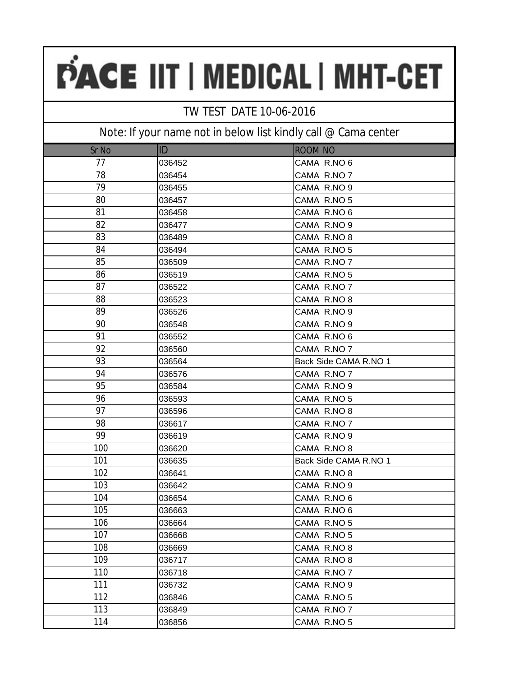### TW TEST DATE 10-06-2016

| Sr No | ID     | <b>ROOM NO</b>        |
|-------|--------|-----------------------|
| 77    | 036452 | CAMA R.NO 6           |
| 78    | 036454 | CAMA R.NO 7           |
| 79    | 036455 | CAMA R.NO 9           |
| 80    | 036457 | CAMA R.NO 5           |
| 81    | 036458 | CAMA R.NO 6           |
| 82    | 036477 | CAMA R.NO 9           |
| 83    | 036489 | CAMA R.NO 8           |
| 84    | 036494 | CAMA R.NO 5           |
| 85    | 036509 | CAMA R.NO 7           |
| 86    | 036519 | CAMA R.NO 5           |
| 87    | 036522 | CAMA R.NO 7           |
| 88    | 036523 | CAMA R.NO 8           |
| 89    | 036526 | CAMA R.NO 9           |
| 90    | 036548 | CAMA R.NO 9           |
| 91    | 036552 | CAMA R.NO 6           |
| 92    | 036560 | CAMA R.NO 7           |
| 93    | 036564 | Back Side CAMA R.NO 1 |
| 94    | 036576 | CAMA R.NO 7           |
| 95    | 036584 | CAMA R.NO 9           |
| 96    | 036593 | CAMA R.NO 5           |
| 97    | 036596 | CAMA R.NO 8           |
| 98    | 036617 | CAMA R.NO 7           |
| 99    | 036619 | CAMA R.NO 9           |
| 100   | 036620 | CAMA R.NO 8           |
| 101   | 036635 | Back Side CAMA R.NO 1 |
| 102   | 036641 | CAMA R.NO 8           |
| 103   | 036642 | CAMA R.NO 9           |
| 104   | 036654 | CAMA R.NO 6           |
| 105   | 036663 | CAMA R.NO 6           |
| 106   | 036664 | CAMA R.NO 5           |
| 107   | 036668 | CAMA R.NO 5           |
| 108   | 036669 | CAMA R.NO 8           |
| 109   | 036717 | CAMA R.NO 8           |
| 110   | 036718 | CAMA R.NO 7           |
| 111   | 036732 | CAMA R.NO 9           |
| 112   | 036846 | CAMA R.NO 5           |
| 113   | 036849 | CAMA R.NO 7           |
| 114   | 036856 | CAMA R.NO 5           |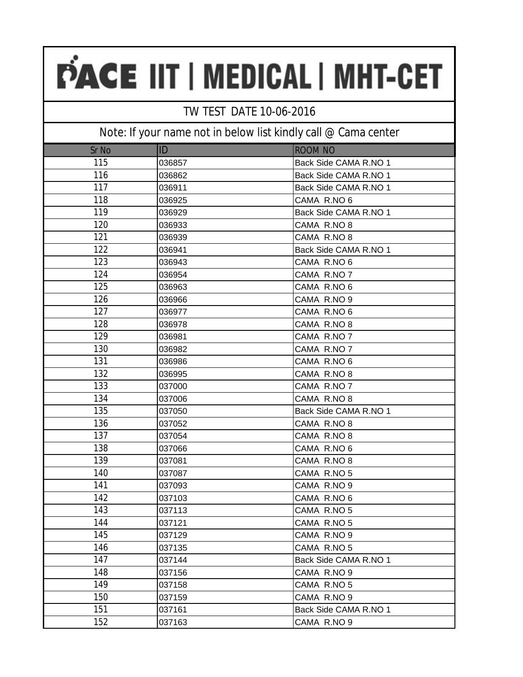### TW TEST DATE 10-06-2016

| Sr No | ID     | <b>ROOM NO</b>        |
|-------|--------|-----------------------|
| 115   | 036857 | Back Side CAMA R.NO 1 |
| 116   | 036862 | Back Side CAMA R.NO 1 |
| 117   | 036911 | Back Side CAMA R.NO 1 |
| 118   | 036925 | CAMA R.NO 6           |
| 119   | 036929 | Back Side CAMA R.NO 1 |
| 120   | 036933 | CAMA R.NO 8           |
| 121   | 036939 | CAMA R.NO 8           |
| 122   | 036941 | Back Side CAMA R.NO 1 |
| 123   | 036943 | CAMA R.NO 6           |
| 124   | 036954 | CAMA R.NO 7           |
| 125   | 036963 | CAMA R.NO 6           |
| 126   | 036966 | CAMA R.NO 9           |
| 127   | 036977 | CAMA R.NO 6           |
| 128   | 036978 | CAMA R.NO 8           |
| 129   | 036981 | CAMA R.NO 7           |
| 130   | 036982 | CAMA R.NO 7           |
| 131   | 036986 | CAMA R.NO 6           |
| 132   | 036995 | CAMA R.NO 8           |
| 133   | 037000 | CAMA R.NO 7           |
| 134   | 037006 | CAMA R.NO 8           |
| 135   | 037050 | Back Side CAMA R.NO 1 |
| 136   | 037052 | CAMA R.NO 8           |
| 137   | 037054 | CAMA R.NO 8           |
| 138   | 037066 | CAMA R.NO 6           |
| 139   | 037081 | CAMA R.NO 8           |
| 140   | 037087 | CAMA R.NO 5           |
| 141   | 037093 | CAMA R.NO 9           |
| 142   | 037103 | CAMA R.NO 6           |
| 143   | 037113 | CAMA R.NO 5           |
| 144   | 037121 | CAMA R.NO 5           |
| 145   | 037129 | CAMA R.NO 9           |
| 146   | 037135 | CAMA R.NO 5           |
| 147   | 037144 | Back Side CAMA R.NO 1 |
| 148   | 037156 | CAMA R.NO 9           |
| 149   | 037158 | CAMA R.NO 5           |
| 150   | 037159 | CAMA R.NO 9           |
| 151   | 037161 | Back Side CAMA R.NO 1 |
| 152   | 037163 | CAMA R.NO 9           |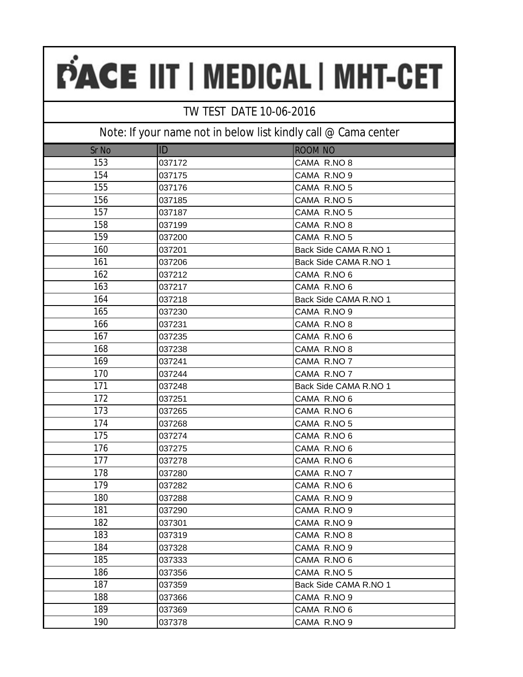### TW TEST DATE 10-06-2016

| Sr No | ID     | <b>ROOM NO</b>        |
|-------|--------|-----------------------|
| 153   | 037172 | CAMA R.NO 8           |
| 154   | 037175 | CAMA R.NO 9           |
| 155   | 037176 | CAMA R.NO 5           |
| 156   | 037185 | CAMA R.NO 5           |
| 157   | 037187 | CAMA R.NO 5           |
| 158   | 037199 | CAMA R.NO 8           |
| 159   | 037200 | CAMA R.NO 5           |
| 160   | 037201 | Back Side CAMA R.NO 1 |
| 161   | 037206 | Back Side CAMA R.NO 1 |
| 162   | 037212 | CAMA R.NO 6           |
| 163   | 037217 | CAMA R.NO 6           |
| 164   | 037218 | Back Side CAMA R.NO 1 |
| 165   | 037230 | CAMA R.NO 9           |
| 166   | 037231 | CAMA R.NO 8           |
| 167   | 037235 | CAMA R.NO 6           |
| 168   | 037238 | CAMA R.NO 8           |
| 169   | 037241 | CAMA R.NO 7           |
| 170   | 037244 | CAMA R.NO 7           |
| 171   | 037248 | Back Side CAMA R.NO 1 |
| 172   | 037251 | CAMA R.NO 6           |
| 173   | 037265 | CAMA R.NO 6           |
| 174   | 037268 | CAMA R.NO 5           |
| 175   | 037274 | CAMA R.NO 6           |
| 176   | 037275 | CAMA R.NO 6           |
| 177   | 037278 | CAMA R.NO 6           |
| 178   | 037280 | CAMA R.NO 7           |
| 179   | 037282 | CAMA R.NO 6           |
| 180   | 037288 | CAMA R.NO 9           |
| 181   | 037290 | CAMA R.NO 9           |
| 182   | 037301 | CAMA R.NO 9           |
| 183   | 037319 | CAMA R.NO 8           |
| 184   | 037328 | CAMA R.NO 9           |
| 185   | 037333 | CAMA R.NO 6           |
| 186   | 037356 | CAMA R.NO 5           |
| 187   | 037359 | Back Side CAMA R.NO 1 |
| 188   | 037366 | CAMA R.NO 9           |
| 189   | 037369 | CAMA R.NO 6           |
| 190   | 037378 | CAMA R.NO 9           |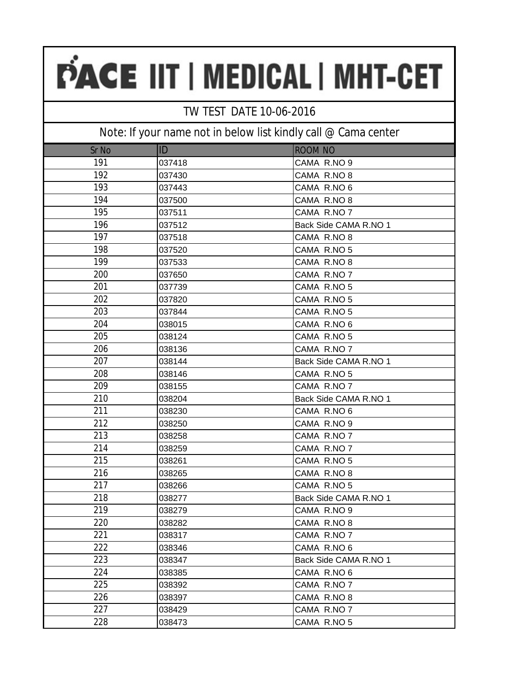### TW TEST DATE 10-06-2016

| Sr No | ID     | <b>ROOM NO</b>        |
|-------|--------|-----------------------|
| 191   | 037418 | CAMA R.NO 9           |
| 192   | 037430 | CAMA R.NO 8           |
| 193   | 037443 | CAMA R.NO 6           |
| 194   | 037500 | CAMA R.NO 8           |
| 195   | 037511 | CAMA R.NO 7           |
| 196   | 037512 | Back Side CAMA R.NO 1 |
| 197   | 037518 | CAMA R.NO 8           |
| 198   | 037520 | CAMA R.NO 5           |
| 199   | 037533 | CAMA R.NO 8           |
| 200   | 037650 | CAMA R.NO 7           |
| 201   | 037739 | CAMA R.NO 5           |
| 202   | 037820 | CAMA R.NO 5           |
| 203   | 037844 | CAMA R.NO 5           |
| 204   | 038015 | CAMA R.NO 6           |
| 205   | 038124 | CAMA R.NO 5           |
| 206   | 038136 | CAMA R.NO 7           |
| 207   | 038144 | Back Side CAMA R.NO 1 |
| 208   | 038146 | CAMA R.NO 5           |
| 209   | 038155 | CAMA R.NO 7           |
| 210   | 038204 | Back Side CAMA R.NO 1 |
| 211   | 038230 | CAMA R.NO 6           |
| 212   | 038250 | CAMA R.NO 9           |
| 213   | 038258 | CAMA R.NO 7           |
| 214   | 038259 | CAMA R.NO 7           |
| 215   | 038261 | CAMA R.NO 5           |
| 216   | 038265 | CAMA R.NO 8           |
| 217   | 038266 | CAMA R.NO 5           |
| 218   | 038277 | Back Side CAMA R.NO 1 |
| 219   | 038279 | CAMA R.NO 9           |
| 220   | 038282 | CAMA R.NO 8           |
| 221   | 038317 | CAMA R.NO 7           |
| 222   | 038346 | CAMA R.NO 6           |
| 223   | 038347 | Back Side CAMA R.NO 1 |
| 224   | 038385 | CAMA R.NO 6           |
| 225   | 038392 | CAMA R.NO 7           |
| 226   | 038397 | CAMA R.NO 8           |
| 227   | 038429 | CAMA R.NO 7           |
| 228   | 038473 | CAMA R.NO 5           |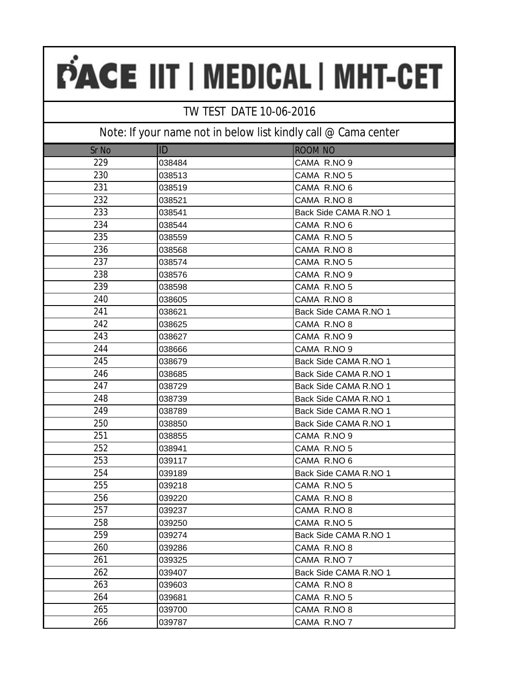### TW TEST DATE 10-06-2016

| Sr No | ID     | <b>ROOM NO</b>        |
|-------|--------|-----------------------|
| 229   | 038484 | CAMA R.NO 9           |
| 230   | 038513 | CAMA R.NO 5           |
| 231   | 038519 | CAMA R.NO 6           |
| 232   | 038521 | CAMA R.NO 8           |
| 233   | 038541 | Back Side CAMA R.NO 1 |
| 234   | 038544 | CAMA R.NO 6           |
| 235   | 038559 | CAMA R.NO 5           |
| 236   | 038568 | CAMA R.NO 8           |
| 237   | 038574 | CAMA R.NO 5           |
| 238   | 038576 | CAMA R.NO 9           |
| 239   | 038598 | CAMA R.NO 5           |
| 240   | 038605 | CAMA R.NO 8           |
| 241   | 038621 | Back Side CAMA R.NO 1 |
| 242   | 038625 | CAMA R.NO 8           |
| 243   | 038627 | CAMA R.NO 9           |
| 244   | 038666 | CAMA R.NO 9           |
| 245   | 038679 | Back Side CAMA R.NO 1 |
| 246   | 038685 | Back Side CAMA R.NO 1 |
| 247   | 038729 | Back Side CAMA R.NO 1 |
| 248   | 038739 | Back Side CAMA R.NO 1 |
| 249   | 038789 | Back Side CAMA R.NO 1 |
| 250   | 038850 | Back Side CAMA R.NO 1 |
| 251   | 038855 | CAMA R.NO 9           |
| 252   | 038941 | CAMA R.NO 5           |
| 253   | 039117 | CAMA R.NO 6           |
| 254   | 039189 | Back Side CAMA R.NO 1 |
| 255   | 039218 | CAMA R.NO 5           |
| 256   | 039220 | CAMA R.NO 8           |
| 257   | 039237 | CAMA R.NO 8           |
| 258   | 039250 | CAMA R.NO 5           |
| 259   | 039274 | Back Side CAMA R.NO 1 |
| 260   | 039286 | CAMA R.NO 8           |
| 261   | 039325 | CAMA R.NO 7           |
| 262   | 039407 | Back Side CAMA R.NO 1 |
| 263   | 039603 | CAMA R.NO 8           |
| 264   | 039681 | CAMA R.NO 5           |
| 265   | 039700 | CAMA R.NO 8           |
| 266   | 039787 | CAMA R.NO 7           |